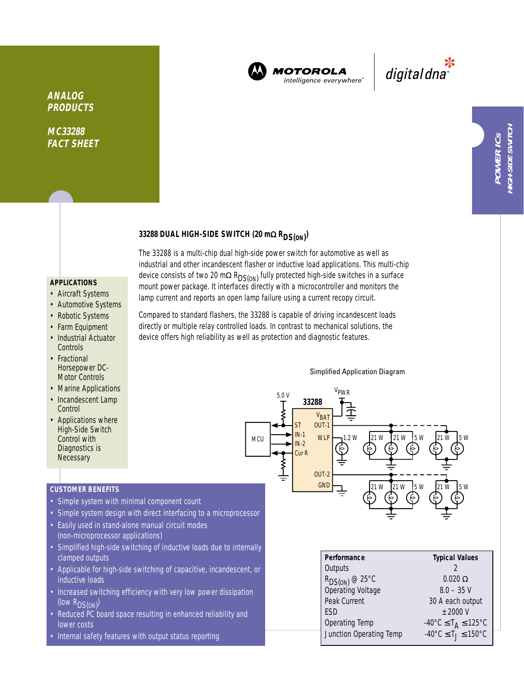

**MOTOROLA** intelligence everywhere

digital dna

**MC33288 FACT SHEET**

# **33288 DUAL HIGH-SIDE SWITCH (20 m**<sup>Ω</sup> **RDS(ON) )**

### **APPLICATIONS**

- Aircraft Systems
- Automotive Systems
- Robotic Systems
- Farm Equipment
- Industrial Actuator **Controls**
- Fractional Horsepower DC-Motor Controls
- Marine Applications
- Incandescent Lamp **Control**
- Applications where High-Side Switch Control with Diagnostics is **Necessary**

## **CUSTOMER BENEFITS**

- Simple system with minimal component count
- Simple system design with direct interfacing to a microprocessor
- Easily used in stand-alone manual circuit modes (non-microprocessor applications)
- Simplified high-side switching of inductive loads due to internally clamped outputs
- Applicable for high-side switching of capacitive, incandescent, or inductive loads
- Increased switching efficiency with very low power dissipation (low R<sub>DS(ON)</sub>)
- Reduced PC board space resulting in enhanced reliability and lower costs
- Internal safety features with output status reporting

Compared to standard flashers, the 33288 is capable of driving incandescent loads directly or multiple relay controlled loads. In contrast to mechanical solutions, the device offers high reliability as well as protection and diagnostic features.

The 33288 is a multi-chip dual high-side power switch for automotive as well as industrial and other incandescent flasher or inductive load applications. This multi-chip device consists of two 20 mΩ R<sub>DS(ON</sub>) fully protected high-side switches in a surface mount power package. It interfaces directly with a microcontroller and monitors the lamp current and reports an open lamp failure using a current recopy circuit.

#### Simplified Application Diagram



| Performance                              | <b>Typical Values</b>                                         |  |  |
|------------------------------------------|---------------------------------------------------------------|--|--|
| Outputs                                  |                                                               |  |  |
| $R_{DS(ON)}$ @ 25°C<br>Operating Voltage | $0.020 \Omega$                                                |  |  |
|                                          | $8.0 - 35$ V                                                  |  |  |
| Peak Current                             | 30 A each output                                              |  |  |
| <b>ESD</b>                               | $+2000V$                                                      |  |  |
| Operating Temp                           | $-40^{\circ}$ C $\leq$ T <sub>A</sub> $\leq$ 125 $^{\circ}$ C |  |  |
| Junction Operating Temp                  | $-40^{\circ}$ C $\leq T_1 \leq 150^{\circ}$ C                 |  |  |